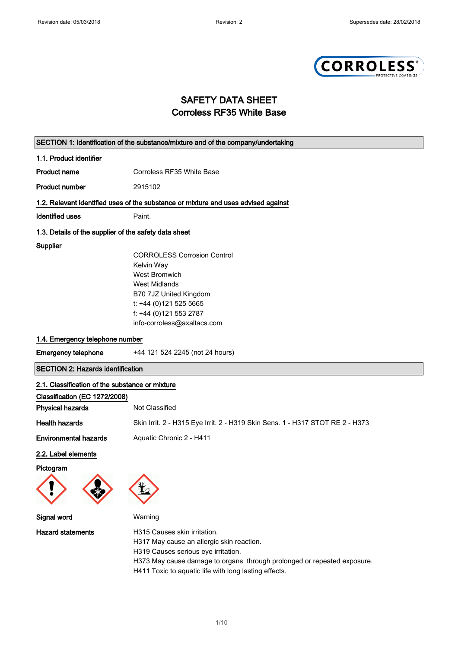

# SAFETY DATA SHEET Corroless RF35 White Base

|                                                       | SECTION 1: Identification of the substance/mixture and of the company/undertaking  |
|-------------------------------------------------------|------------------------------------------------------------------------------------|
| 1.1. Product identifier                               |                                                                                    |
| <b>Product name</b>                                   | Corroless RF35 White Base                                                          |
| <b>Product number</b>                                 | 2915102                                                                            |
|                                                       | 1.2. Relevant identified uses of the substance or mixture and uses advised against |
| <b>Identified uses</b>                                | Paint.                                                                             |
| 1.3. Details of the supplier of the safety data sheet |                                                                                    |
| Supplier                                              |                                                                                    |
|                                                       | <b>CORROLESS Corrosion Control</b>                                                 |
|                                                       | Kelvin Way                                                                         |
|                                                       | <b>West Bromwich</b>                                                               |
|                                                       | <b>West Midlands</b>                                                               |
|                                                       | B70 7JZ United Kingdom                                                             |
|                                                       | t: +44 (0)121 525 5665                                                             |
|                                                       | f: +44 (0)121 553 2787                                                             |
|                                                       | info-corroless@axaltacs.com                                                        |
| 1.4. Emergency telephone number                       |                                                                                    |
| <b>Emergency telephone</b>                            | +44 121 524 2245 (not 24 hours)                                                    |
| <b>SECTION 2: Hazards identification</b>              |                                                                                    |
| 2.1. Classification of the substance or mixture       |                                                                                    |
| Classification (EC 1272/2008)                         |                                                                                    |
| <b>Physical hazards</b>                               | Not Classified                                                                     |
| <b>Health hazards</b>                                 | Skin Irrit. 2 - H315 Eye Irrit. 2 - H319 Skin Sens. 1 - H317 STOT RE 2 - H373      |
| <b>Environmental hazards</b>                          | Aquatic Chronic 2 - H411                                                           |
| 2.2. Label elements                                   |                                                                                    |
| Pictogram                                             |                                                                                    |
|                                                       |                                                                                    |
| Signal word                                           | Warning                                                                            |
| <b>Hazard statements</b>                              | H315 Causes skin irritation.<br>H317 May cause an allergic skin reaction.          |

H319 Causes serious eye irritation.

H373 May cause damage to organs through prolonged or repeated exposure.

H411 Toxic to aquatic life with long lasting effects.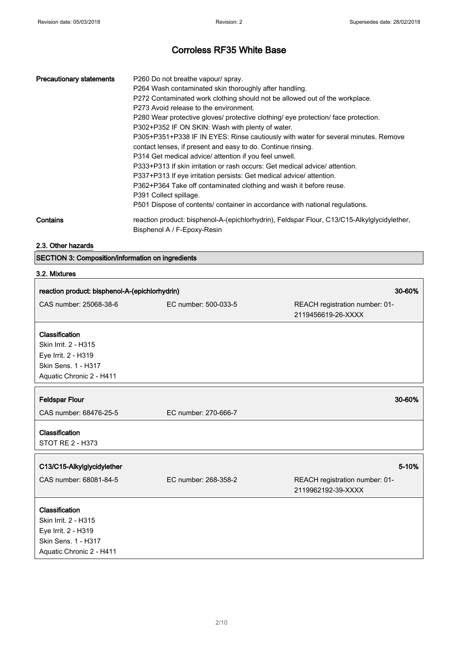ī

# Corroless RF35 White Base

| <b>Precautionary statements</b> | P260 Do not breathe vapour/ spray.<br>P264 Wash contaminated skin thoroughly after handling.<br>P272 Contaminated work clothing should not be allowed out of the workplace.<br>P273 Avoid release to the environment.<br>P280 Wear protective gloves/ protective clothing/ eye protection/ face protection.<br>P302+P352 IF ON SKIN: Wash with plenty of water.<br>P305+P351+P338 IF IN EYES: Rinse cautiously with water for several minutes. Remove<br>contact lenses, if present and easy to do. Continue rinsing.<br>P314 Get medical advice/ attention if you feel unwell.<br>P333+P313 If skin irritation or rash occurs: Get medical advice/attention.<br>P337+P313 If eye irritation persists: Get medical advice/attention.<br>P362+P364 Take off contaminated clothing and wash it before reuse.<br>P391 Collect spillage.<br>P501 Dispose of contents/ container in accordance with national regulations. |
|---------------------------------|----------------------------------------------------------------------------------------------------------------------------------------------------------------------------------------------------------------------------------------------------------------------------------------------------------------------------------------------------------------------------------------------------------------------------------------------------------------------------------------------------------------------------------------------------------------------------------------------------------------------------------------------------------------------------------------------------------------------------------------------------------------------------------------------------------------------------------------------------------------------------------------------------------------------|
| Contains                        | reaction product: bisphenol-A-(epichlorhydrin), Feldspar Flour, C13/C15-Alkylglycidylether,<br>Bisphenol A / F-Epoxy-Resin                                                                                                                                                                                                                                                                                                                                                                                                                                                                                                                                                                                                                                                                                                                                                                                           |

### 2.3. Other hazards

SECTION 3: Composition/information on ingredients

#### 3.2. Mixtures

| 30-60%<br>reaction product: bisphenol-A-(epichlorhydrin)                                                         |                      |                                                      |
|------------------------------------------------------------------------------------------------------------------|----------------------|------------------------------------------------------|
| CAS number: 25068-38-6                                                                                           | EC number: 500-033-5 | REACH registration number: 01-<br>2119456619-26-XXXX |
| Classification<br>Skin Irrit. 2 - H315<br>Eye Irrit. 2 - H319<br>Skin Sens. 1 - H317<br>Aquatic Chronic 2 - H411 |                      |                                                      |
| <b>Feldspar Flour</b><br>CAS number: 68476-25-5                                                                  | EC number: 270-666-7 | 30-60%                                               |
| Classification<br><b>STOT RE 2 - H373</b>                                                                        |                      |                                                      |
| C13/C15-Alkylglycidylether                                                                                       |                      | 5-10%                                                |
| CAS number: 68081-84-5                                                                                           | EC number: 268-358-2 | REACH registration number: 01-<br>2119962192-39-XXXX |
| Classification<br>Skin Irrit. 2 - H315<br>Eye Irrit. 2 - H319<br>Skin Sens. 1 - H317<br>Aquatic Chronic 2 - H411 |                      |                                                      |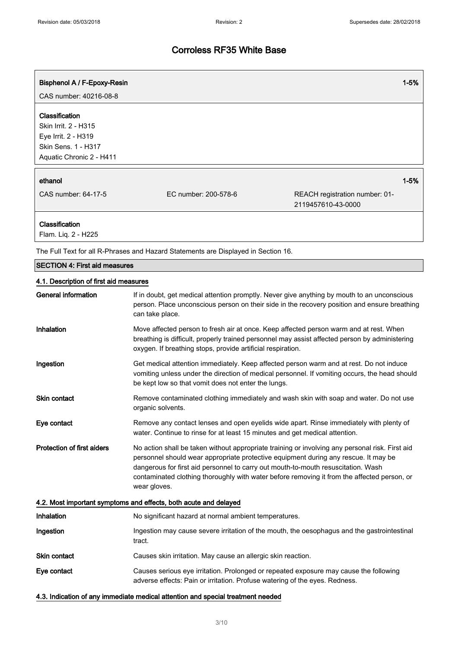$\mathsf{r}$ 

# Corroless RF35 White Base

| Bisphenol A / F-Epoxy-Resin                                                                                             |                      |                                                      | $1 - 5%$ |
|-------------------------------------------------------------------------------------------------------------------------|----------------------|------------------------------------------------------|----------|
| CAS number: 40216-08-8                                                                                                  |                      |                                                      |          |
| <b>Classification</b><br>Skin Irrit. 2 - H315<br>Eye Irrit. 2 - H319<br>Skin Sens. 1 - H317<br>Aquatic Chronic 2 - H411 |                      |                                                      |          |
| ethanol                                                                                                                 |                      |                                                      | $1 - 5%$ |
| CAS number: 64-17-5                                                                                                     | EC number: 200-578-6 | REACH registration number: 01-<br>2119457610-43-0000 |          |
| <b>Classification</b><br>Flam. Liq. 2 - H225                                                                            |                      |                                                      |          |

The Full Text for all R-Phrases and Hazard Statements are Displayed in Section 16.

| <b>SECTION 4: First aid measures</b>                             |                                                                                                                                                                                                                                                                                                                                                                                            |  |
|------------------------------------------------------------------|--------------------------------------------------------------------------------------------------------------------------------------------------------------------------------------------------------------------------------------------------------------------------------------------------------------------------------------------------------------------------------------------|--|
| 4.1. Description of first aid measures                           |                                                                                                                                                                                                                                                                                                                                                                                            |  |
| <b>General information</b>                                       | If in doubt, get medical attention promptly. Never give anything by mouth to an unconscious<br>person. Place unconscious person on their side in the recovery position and ensure breathing<br>can take place.                                                                                                                                                                             |  |
| Inhalation                                                       | Move affected person to fresh air at once. Keep affected person warm and at rest. When<br>breathing is difficult, properly trained personnel may assist affected person by administering<br>oxygen. If breathing stops, provide artificial respiration.                                                                                                                                    |  |
| Ingestion                                                        | Get medical attention immediately. Keep affected person warm and at rest. Do not induce<br>vomiting unless under the direction of medical personnel. If vomiting occurs, the head should<br>be kept low so that vomit does not enter the lungs.                                                                                                                                            |  |
| <b>Skin contact</b>                                              | Remove contaminated clothing immediately and wash skin with soap and water. Do not use<br>organic solvents.                                                                                                                                                                                                                                                                                |  |
| Eye contact                                                      | Remove any contact lenses and open eyelids wide apart. Rinse immediately with plenty of<br>water. Continue to rinse for at least 15 minutes and get medical attention.                                                                                                                                                                                                                     |  |
| <b>Protection of first aiders</b>                                | No action shall be taken without appropriate training or involving any personal risk. First aid<br>personnel should wear appropriate protective equipment during any rescue. It may be<br>dangerous for first aid personnel to carry out mouth-to-mouth resuscitation. Wash<br>contaminated clothing thoroughly with water before removing it from the affected person, or<br>wear gloves. |  |
| 4.2. Most important symptoms and effects, both acute and delayed |                                                                                                                                                                                                                                                                                                                                                                                            |  |
| Inhalation                                                       | No significant hazard at normal ambient temperatures.                                                                                                                                                                                                                                                                                                                                      |  |
| Ingestion                                                        | Ingestion may cause severe irritation of the mouth, the oesophagus and the gastrointestinal<br>tract.                                                                                                                                                                                                                                                                                      |  |
| <b>Skin contact</b>                                              | Causes skin irritation. May cause an allergic skin reaction.                                                                                                                                                                                                                                                                                                                               |  |
| Eye contact                                                      | Causes serious eye irritation. Prolonged or repeated exposure may cause the following<br>adverse effects: Pain or irritation. Profuse watering of the eyes. Redness.                                                                                                                                                                                                                       |  |

4.3. Indication of any immediate medical attention and special treatment needed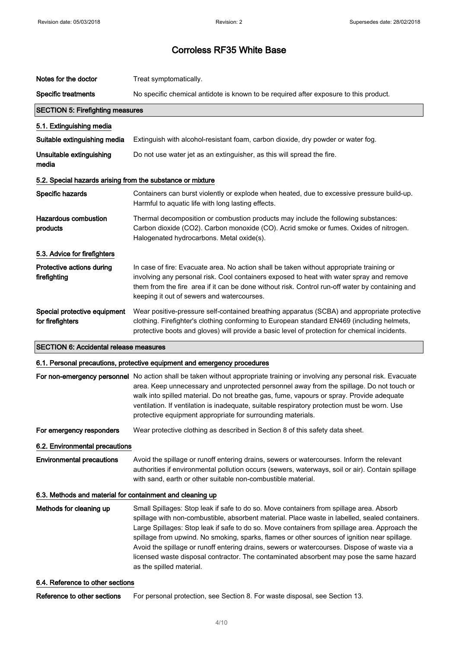| Notes for the doctor                                       | Treat symptomatically.                                                                                                                                                                                                                                                                                                                                                                                                                                                                     |  |
|------------------------------------------------------------|--------------------------------------------------------------------------------------------------------------------------------------------------------------------------------------------------------------------------------------------------------------------------------------------------------------------------------------------------------------------------------------------------------------------------------------------------------------------------------------------|--|
| <b>Specific treatments</b>                                 | No specific chemical antidote is known to be required after exposure to this product.                                                                                                                                                                                                                                                                                                                                                                                                      |  |
| <b>SECTION 5: Firefighting measures</b>                    |                                                                                                                                                                                                                                                                                                                                                                                                                                                                                            |  |
| 5.1. Extinguishing media                                   |                                                                                                                                                                                                                                                                                                                                                                                                                                                                                            |  |
| Suitable extinguishing media                               | Extinguish with alcohol-resistant foam, carbon dioxide, dry powder or water fog.                                                                                                                                                                                                                                                                                                                                                                                                           |  |
| Unsuitable extinguishing<br>media                          | Do not use water jet as an extinguisher, as this will spread the fire.                                                                                                                                                                                                                                                                                                                                                                                                                     |  |
| 5.2. Special hazards arising from the substance or mixture |                                                                                                                                                                                                                                                                                                                                                                                                                                                                                            |  |
| Specific hazards                                           | Containers can burst violently or explode when heated, due to excessive pressure build-up.<br>Harmful to aquatic life with long lasting effects.                                                                                                                                                                                                                                                                                                                                           |  |
| <b>Hazardous combustion</b><br>products                    | Thermal decomposition or combustion products may include the following substances:<br>Carbon dioxide (CO2). Carbon monoxide (CO). Acrid smoke or fumes. Oxides of nitrogen.<br>Halogenated hydrocarbons. Metal oxide(s).                                                                                                                                                                                                                                                                   |  |
| 5.3. Advice for firefighters                               |                                                                                                                                                                                                                                                                                                                                                                                                                                                                                            |  |
| Protective actions during<br>firefighting                  | In case of fire: Evacuate area. No action shall be taken without appropriate training or<br>involving any personal risk. Cool containers exposed to heat with water spray and remove<br>them from the fire area if it can be done without risk. Control run-off water by containing and<br>keeping it out of sewers and watercourses.                                                                                                                                                      |  |
| Special protective equipment<br>for firefighters           | Wear positive-pressure self-contained breathing apparatus (SCBA) and appropriate protective<br>clothing. Firefighter's clothing conforming to European standard EN469 (including helmets,<br>protective boots and gloves) will provide a basic level of protection for chemical incidents.                                                                                                                                                                                                 |  |
| <b>SECTION 6: Accidental release measures</b>              |                                                                                                                                                                                                                                                                                                                                                                                                                                                                                            |  |
|                                                            | 6.1. Personal precautions, protective equipment and emergency procedures                                                                                                                                                                                                                                                                                                                                                                                                                   |  |
|                                                            | For non-emergency personnel No action shall be taken without appropriate training or involving any personal risk. Evacuate<br>area. Keep unnecessary and unprotected personnel away from the spillage. Do not touch or<br>walk into spilled material. Do not breathe gas, fume, vapours or spray. Provide adequate<br>ventilation. If ventilation is inadequate, suitable respiratory protection must be worn. Use<br>protective equipment appropriate for surrounding materials.          |  |
| For emergency responders                                   | Wear protective clothing as described in Section 8 of this safety data sheet.                                                                                                                                                                                                                                                                                                                                                                                                              |  |
| 6.2. Environmental precautions                             |                                                                                                                                                                                                                                                                                                                                                                                                                                                                                            |  |
| <b>Environmental precautions</b>                           | Avoid the spillage or runoff entering drains, sewers or watercourses. Inform the relevant<br>authorities if environmental pollution occurs (sewers, waterways, soil or air). Contain spillage<br>with sand, earth or other suitable non-combustible material.                                                                                                                                                                                                                              |  |
| 6.3. Methods and material for containment and cleaning up  |                                                                                                                                                                                                                                                                                                                                                                                                                                                                                            |  |
| Methods for cleaning up                                    | Small Spillages: Stop leak if safe to do so. Move containers from spillage area. Absorb<br>spillage with non-combustible, absorbent material. Place waste in labelled, sealed containers.<br>Large Spillages: Stop leak if safe to do so. Move containers from spillage area. Approach the<br>spillage from upwind. No smoking, sparks, flames or other sources of ignition near spillage.<br>Avoid the spillage or runoff entering drains, sewers or watercourses. Dispose of waste via a |  |

#### 6.4. Reference to other sections

Reference to other sections For personal protection, see Section 8. For waste disposal, see Section 13.

as the spilled material.

licensed waste disposal contractor. The contaminated absorbent may pose the same hazard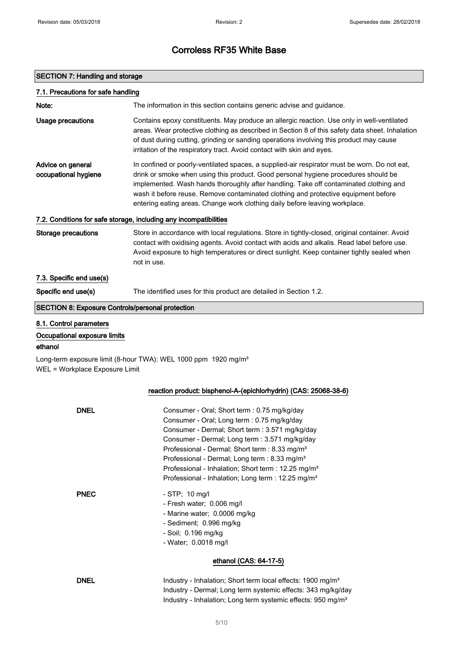## SECTION 7: Handling and storage

| 7.1. Precautions for safe handling                                 |                                                                                                                                                                                                                                                                                                                                                                                                                                                                  |
|--------------------------------------------------------------------|------------------------------------------------------------------------------------------------------------------------------------------------------------------------------------------------------------------------------------------------------------------------------------------------------------------------------------------------------------------------------------------------------------------------------------------------------------------|
| Note:                                                              | The information in this section contains generic advise and guidance.                                                                                                                                                                                                                                                                                                                                                                                            |
| <b>Usage precautions</b>                                           | Contains epoxy constituents. May produce an allergic reaction. Use only in well-ventilated<br>areas. Wear protective clothing as described in Section 8 of this safety data sheet. Inhalation<br>of dust during cutting, grinding or sanding operations involving this product may cause<br>irritation of the respiratory tract. Avoid contact with skin and eyes.                                                                                               |
| Advice on general<br>occupational hygiene                          | In confined or poorly-ventilated spaces, a supplied-air respirator must be worn. Do not eat,<br>drink or smoke when using this product. Good personal hygiene procedures should be<br>implemented. Wash hands thoroughly after handling. Take off contaminated clothing and<br>wash it before reuse. Remove contaminated clothing and protective equipment before<br>entering eating areas. Change work clothing daily before leaving workplace.                 |
|                                                                    | 7.2. Conditions for safe storage, including any incompatibilities                                                                                                                                                                                                                                                                                                                                                                                                |
| <b>Storage precautions</b>                                         | Store in accordance with local regulations. Store in tightly-closed, original container. Avoid<br>contact with oxidising agents. Avoid contact with acids and alkalis. Read label before use.<br>Avoid exposure to high temperatures or direct sunlight. Keep container tightly sealed when<br>not in use.                                                                                                                                                       |
| 7.3. Specific end use(s)                                           |                                                                                                                                                                                                                                                                                                                                                                                                                                                                  |
| Specific end use(s)                                                | The identified uses for this product are detailed in Section 1.2.                                                                                                                                                                                                                                                                                                                                                                                                |
| <b>SECTION 8: Exposure Controls/personal protection</b>            |                                                                                                                                                                                                                                                                                                                                                                                                                                                                  |
| 8.1. Control parameters<br>Occupational exposure limits<br>ethanol |                                                                                                                                                                                                                                                                                                                                                                                                                                                                  |
| WEL = Workplace Exposure Limit                                     | Long-term exposure limit (8-hour TWA): WEL 1000 ppm 1920 mg/m <sup>3</sup>                                                                                                                                                                                                                                                                                                                                                                                       |
|                                                                    |                                                                                                                                                                                                                                                                                                                                                                                                                                                                  |
|                                                                    | reaction product: bisphenol-A-(epichlorhydrin) (CAS: 25068-38-6)                                                                                                                                                                                                                                                                                                                                                                                                 |
| <b>DNEL</b>                                                        | Consumer - Oral; Short term : 0.75 mg/kg/day<br>Consumer - Oral; Long term : 0.75 mg/kg/day<br>Consumer - Dermal; Short term : 3.571 mg/kg/day<br>Consumer - Dermal; Long term : 3.571 mg/kg/day<br>Professional - Dermal; Short term : 8.33 mg/m <sup>3</sup><br>Professional - Dermal; Long term : 8.33 mg/m <sup>3</sup><br>Professional - Inhalation; Short term : 12.25 mg/m <sup>3</sup><br>Professional - Inhalation; Long term : 12.25 mg/m <sup>3</sup> |
| <b>PNEC</b>                                                        | - STP; 10 mg/l<br>- Fresh water; 0.006 mg/l<br>- Marine water; 0.0006 mg/kg<br>- Sediment; 0.996 mg/kg                                                                                                                                                                                                                                                                                                                                                           |

- Soil; 0.196 mg/kg
- Water; 0.0018 mg/l

### ethanol (CAS: 64-17-5)

DNEL Industry - Inhalation; Short term local effects: 1900 mg/m<sup>3</sup> Industry - Dermal; Long term systemic effects: 343 mg/kg/day Industry - Inhalation; Long term systemic effects: 950 mg/m<sup>3</sup>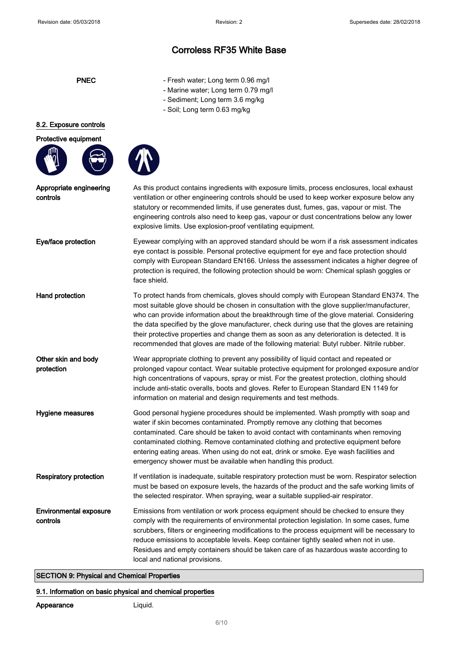- PNEC Fresh water; Long term 0.96 mg/l
	- Marine water; Long term 0.79 mg/l
	- Sediment; Long term 3.6 mg/kg
	- Soil; Long term 0.63 mg/kg

#### 8.2. Exposure controls

#### Protective equipment



controls



Appropriate engineering As this product contains ingredients with exposure limits, process enclosures, local exhaust ventilation or other engineering controls should be used to keep worker exposure below any statutory or recommended limits, if use generates dust, fumes, gas, vapour or mist. The engineering controls also need to keep gas, vapour or dust concentrations below any lower explosive limits. Use explosion-proof ventilating equipment.

Eye/face protection Eyewear complying with an approved standard should be worn if a risk assessment indicates eye contact is possible. Personal protective equipment for eye and face protection should comply with European Standard EN166. Unless the assessment indicates a higher degree of protection is required, the following protection should be worn: Chemical splash goggles or face shield.

Hand protection To protect hands from chemicals, gloves should comply with European Standard EN374. The most suitable glove should be chosen in consultation with the glove supplier/manufacturer, who can provide information about the breakthrough time of the glove material. Considering the data specified by the glove manufacturer, check during use that the gloves are retaining their protective properties and change them as soon as any deterioration is detected. It is recommended that gloves are made of the following material: Butyl rubber. Nitrile rubber.

Other skin and body protection Wear appropriate clothing to prevent any possibility of liquid contact and repeated or prolonged vapour contact. Wear suitable protective equipment for prolonged exposure and/or high concentrations of vapours, spray or mist. For the greatest protection, clothing should include anti-static overalls, boots and gloves. Refer to European Standard EN 1149 for information on material and design requirements and test methods.

Hygiene measures Good personal hygiene procedures should be implemented. Wash promptly with soap and water if skin becomes contaminated. Promptly remove any clothing that becomes contaminated. Care should be taken to avoid contact with contaminants when removing contaminated clothing. Remove contaminated clothing and protective equipment before entering eating areas. When using do not eat, drink or smoke. Eye wash facilities and emergency shower must be available when handling this product.

Respiratory protection If ventilation is inadequate, suitable respiratory protection must be worn. Respirator selection must be based on exposure levels, the hazards of the product and the safe working limits of the selected respirator. When spraying, wear a suitable supplied-air respirator.

Environmental exposure controls Emissions from ventilation or work process equipment should be checked to ensure they comply with the requirements of environmental protection legislation. In some cases, fume scrubbers, filters or engineering modifications to the process equipment will be necessary to reduce emissions to acceptable levels. Keep container tightly sealed when not in use. Residues and empty containers should be taken care of as hazardous waste according to local and national provisions.

#### SECTION 9: Physical and Chemical Properties

#### 9.1. Information on basic physical and chemical properties

| Appearance |
|------------|
|------------|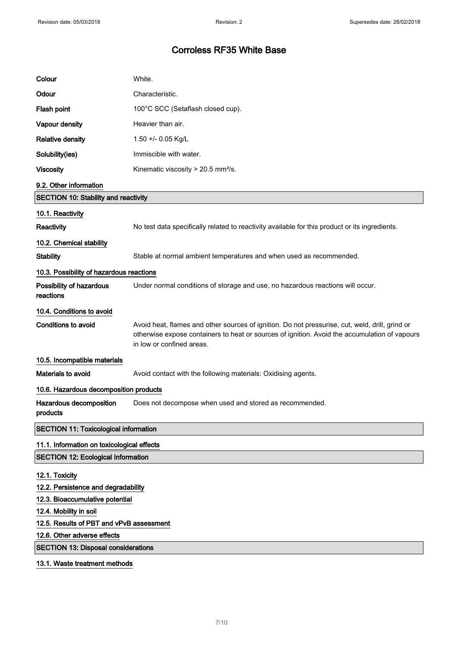| Colour                                       | White.                                                                                                                                                                                                                        |  |
|----------------------------------------------|-------------------------------------------------------------------------------------------------------------------------------------------------------------------------------------------------------------------------------|--|
| Odour                                        | Characteristic.                                                                                                                                                                                                               |  |
| Flash point                                  | 100°C SCC (Setaflash closed cup).                                                                                                                                                                                             |  |
| Vapour density                               | Heavier than air.                                                                                                                                                                                                             |  |
| <b>Relative density</b>                      | 1.50 +/- 0.05 Kg/L                                                                                                                                                                                                            |  |
| Solubility(ies)                              | Immiscible with water.                                                                                                                                                                                                        |  |
| <b>Viscosity</b>                             | Kinematic viscosity > 20.5 mm <sup>2</sup> /s.                                                                                                                                                                                |  |
| 9.2. Other information                       |                                                                                                                                                                                                                               |  |
| <b>SECTION 10: Stability and reactivity</b>  |                                                                                                                                                                                                                               |  |
| 10.1. Reactivity                             |                                                                                                                                                                                                                               |  |
| <b>Reactivity</b>                            | No test data specifically related to reactivity available for this product or its ingredients.                                                                                                                                |  |
| 10.2. Chemical stability                     |                                                                                                                                                                                                                               |  |
| <b>Stability</b>                             | Stable at normal ambient temperatures and when used as recommended.                                                                                                                                                           |  |
| 10.3. Possibility of hazardous reactions     |                                                                                                                                                                                                                               |  |
| Possibility of hazardous<br>reactions        | Under normal conditions of storage and use, no hazardous reactions will occur.                                                                                                                                                |  |
| 10.4. Conditions to avoid                    |                                                                                                                                                                                                                               |  |
| <b>Conditions to avoid</b>                   | Avoid heat, flames and other sources of ignition. Do not pressurise, cut, weld, drill, grind or<br>otherwise expose containers to heat or sources of ignition. Avoid the accumulation of vapours<br>in low or confined areas. |  |
| 10.5. Incompatible materials                 |                                                                                                                                                                                                                               |  |
| Materials to avoid                           | Avoid contact with the following materials: Oxidising agents.                                                                                                                                                                 |  |
| 10.6. Hazardous decomposition products       |                                                                                                                                                                                                                               |  |
| Hazardous decomposition<br>products          | Does not decompose when used and stored as recommended.                                                                                                                                                                       |  |
| <b>SECTION 11: Toxicological information</b> |                                                                                                                                                                                                                               |  |
| 11.1. Information on toxicological effects   |                                                                                                                                                                                                                               |  |
| <b>SECTION 12: Ecological Information</b>    |                                                                                                                                                                                                                               |  |
| 12.1. Toxicity                               |                                                                                                                                                                                                                               |  |
| 12.2. Persistence and degradability          |                                                                                                                                                                                                                               |  |
| 12.3. Bioaccumulative potential              |                                                                                                                                                                                                                               |  |
| 12.4. Mobility in soil                       |                                                                                                                                                                                                                               |  |
| 12.5. Results of PBT and vPvB assessment     |                                                                                                                                                                                                                               |  |
| 12.6. Other adverse effects                  |                                                                                                                                                                                                                               |  |
| <b>SECTION 13: Disposal considerations</b>   |                                                                                                                                                                                                                               |  |
| 13.1. Waste treatment methods                |                                                                                                                                                                                                                               |  |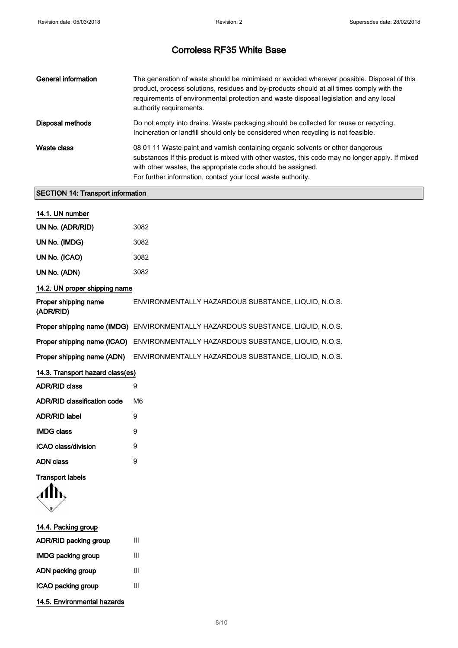| <b>General information</b> | The generation of waste should be minimised or avoided wherever possible. Disposal of this<br>product, process solutions, residues and by-products should at all times comply with the<br>requirements of environmental protection and waste disposal legislation and any local<br>authority requirements.       |
|----------------------------|------------------------------------------------------------------------------------------------------------------------------------------------------------------------------------------------------------------------------------------------------------------------------------------------------------------|
| Disposal methods           | Do not empty into drains. Waste packaging should be collected for reuse or recycling.<br>Incineration or landfill should only be considered when recycling is not feasible.                                                                                                                                      |
| Waste class                | 08 01 11 Waste paint and varnish containing organic solvents or other dangerous<br>substances If this product is mixed with other wastes, this code may no longer apply. If mixed<br>with other wastes, the appropriate code should be assigned.<br>For further information, contact your local waste authority. |

## SECTION 14: Transport information

| 14.1. UN number                    |                                                                                 |
|------------------------------------|---------------------------------------------------------------------------------|
| UN No. (ADR/RID)                   | 3082                                                                            |
| UN No. (IMDG)                      | 3082                                                                            |
| UN No. (ICAO)                      | 3082                                                                            |
| UN No. (ADN)                       | 3082                                                                            |
| 14.2. UN proper shipping name      |                                                                                 |
| Proper shipping name<br>(ADR/RID)  | ENVIRONMENTALLY HAZARDOUS SUBSTANCE, LIQUID, N.O.S.                             |
|                                    | Proper shipping name (IMDG) ENVIRONMENTALLY HAZARDOUS SUBSTANCE, LIQUID, N.O.S. |
|                                    | Proper shipping name (ICAO) ENVIRONMENTALLY HAZARDOUS SUBSTANCE, LIQUID, N.O.S. |
| Proper shipping name (ADN)         | ENVIRONMENTALLY HAZARDOUS SUBSTANCE, LIQUID, N.O.S.                             |
| 14.3. Transport hazard class(es)   |                                                                                 |
| <b>ADR/RID class</b>               | 9                                                                               |
| <b>ADR/RID classification code</b> | M6                                                                              |
| <b>ADR/RID label</b>               | 9                                                                               |
| <b>IMDG class</b>                  | 9                                                                               |
| ICAO class/division                | 9                                                                               |
| <b>ADN class</b>                   | 9                                                                               |
| <b>Transport labels</b>            |                                                                                 |
|                                    |                                                                                 |
| 14.4. Packing group                |                                                                                 |
| ADR/RID packing group              | III                                                                             |
| <b>IMDG packing group</b>          | Ш                                                                               |
| ADN packing group                  | Ш                                                                               |
| ICAO packing group                 | Ш                                                                               |
| 14.5. Environmental hazards        |                                                                                 |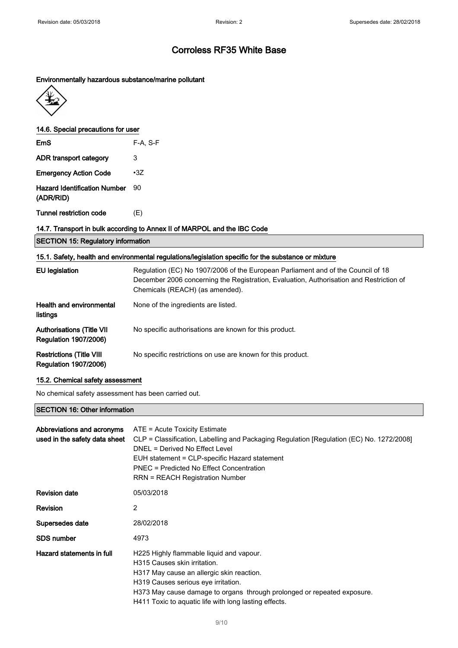#### Environmentally hazardous substance/marine pollutant



14.6. Special precautions for user

| <b>EmS</b>                                       | F-A, S-F   |
|--------------------------------------------------|------------|
| ADR transport category                           | 3          |
| <b>Emergency Action Code</b>                     | $\cdot 37$ |
| <b>Hazard Identification Number</b><br>(ADR/RID) | 90         |
| <b>Tunnel restriction code</b>                   | (E)        |

## 14.7. Transport in bulk according to Annex II of MARPOL and the IBC Code

|  |  |  | <b>SECTION 15: Regulatory information</b> |
|--|--|--|-------------------------------------------|
|--|--|--|-------------------------------------------|

| EU legislation                                                   | Regulation (EC) No 1907/2006 of the European Parliament and of the Council of 18<br>December 2006 concerning the Registration, Evaluation, Authorisation and Restriction of<br>Chemicals (REACH) (as amended). |
|------------------------------------------------------------------|----------------------------------------------------------------------------------------------------------------------------------------------------------------------------------------------------------------|
| <b>Health and environmental</b><br>listings                      | None of the ingredients are listed.                                                                                                                                                                            |
| <b>Authorisations (Title VII</b><br><b>Regulation 1907/2006)</b> | No specific authorisations are known for this product.                                                                                                                                                         |
| <b>Restrictions (Title VIII</b><br><b>Regulation 1907/2006)</b>  | No specific restrictions on use are known for this product.                                                                                                                                                    |

#### 15.2. Chemical safety assessment

No chemical safety assessment has been carried out.

#### SECTION 16: Other information

| Abbreviations and acronyms<br>used in the safety data sheet | ATE = Acute Toxicity Estimate<br>CLP = Classification, Labelling and Packaging Regulation [Regulation (EC) No. 1272/2008]<br>DNEL = Derived No Effect Level<br>EUH statement = CLP-specific Hazard statement<br>PNEC = Predicted No Effect Concentration<br><b>RRN = REACH Registration Number</b> |
|-------------------------------------------------------------|----------------------------------------------------------------------------------------------------------------------------------------------------------------------------------------------------------------------------------------------------------------------------------------------------|
| <b>Revision date</b>                                        | 05/03/2018                                                                                                                                                                                                                                                                                         |
| <b>Revision</b>                                             | 2                                                                                                                                                                                                                                                                                                  |
| Supersedes date                                             | 28/02/2018                                                                                                                                                                                                                                                                                         |
| SDS number                                                  | 4973                                                                                                                                                                                                                                                                                               |
| Hazard statements in full                                   | H225 Highly flammable liquid and vapour.<br>H315 Causes skin irritation.<br>H317 May cause an allergic skin reaction.<br>H319 Causes serious eye irritation.<br>H373 May cause damage to organs through prolonged or repeated exposure.<br>H411 Toxic to aquatic life with long lasting effects.   |